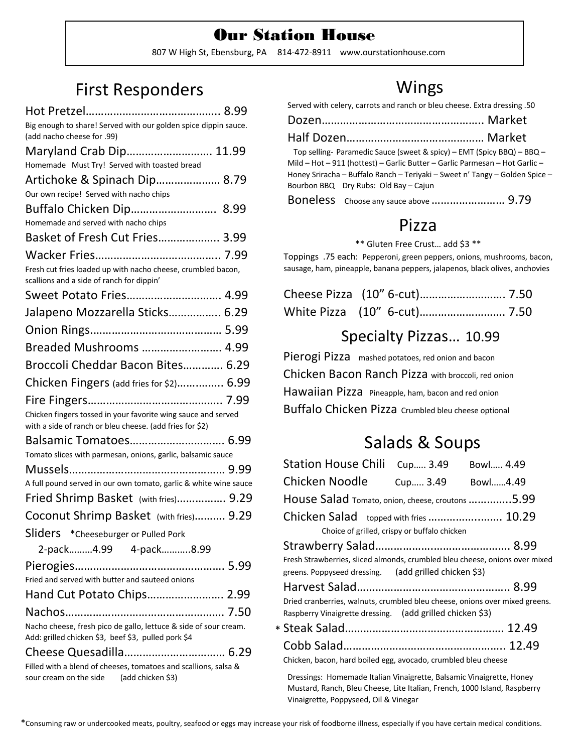### Our Station House807 W High St, Ebensburg, PA 814-472-8911 www.ourstationhouse.com

# First Responders

| Big enough to share! Served with our golden spice dippin sauce.                                                         |
|-------------------------------------------------------------------------------------------------------------------------|
| (add nacho cheese for .99)                                                                                              |
| Maryland Crab Dip 11.99                                                                                                 |
| Homemade Must Try! Served with toasted bread                                                                            |
| Artichoke & Spinach Dip 8.79                                                                                            |
| Our own recipe! Served with nacho chips                                                                                 |
|                                                                                                                         |
| Homemade and served with nacho chips                                                                                    |
| Basket of Fresh Cut Fries 3.99                                                                                          |
|                                                                                                                         |
| Fresh cut fries loaded up with nacho cheese, crumbled bacon,<br>scallions and a side of ranch for dippin'               |
| Sweet Potato Fries 4.99                                                                                                 |
| Jalapeno Mozzarella Sticks 6.29                                                                                         |
|                                                                                                                         |
| Breaded Mushrooms  4.99                                                                                                 |
| Broccoli Cheddar Bacon Bites 6.29                                                                                       |
| Chicken Fingers (add fries for \$2) 6.99                                                                                |
|                                                                                                                         |
| Chicken fingers tossed in your favorite wing sauce and served                                                           |
| with a side of ranch or bleu cheese. (add fries for \$2)                                                                |
| Balsamic Tomatoes 6.99                                                                                                  |
| Tomato slices with parmesan, onions, garlic, balsamic sauce                                                             |
|                                                                                                                         |
| A full pound served in our own tomato, garlic & white wine sauce                                                        |
| Fried Shrimp Basket (with fries) 9.29                                                                                   |
| Coconut Shrimp Basket (with fries) 9.29                                                                                 |
| Sliders * Cheeseburger or Pulled Pork                                                                                   |
| 2-pack4.99 4-pack8.99                                                                                                   |
|                                                                                                                         |
| Fried and served with butter and sauteed onions                                                                         |
|                                                                                                                         |
|                                                                                                                         |
| Nacho cheese, fresh pico de gallo, lettuce & side of sour cream.<br>Add: grilled chicken \$3, beef \$3, pulled pork \$4 |
|                                                                                                                         |
| Filled with a blend of cheeses, tomatoes and scallions, salsa &                                                         |
| sour cream on the side (add chicken \$3)                                                                                |

## Wings

Served with celery, carrots and ranch or bleu cheese. Extra dressing .50

| Top selling- Paramedic Sauce (sweet & spicy) – EMT (Spicy BBQ) – BBQ –<br>Mild - Hot - 911 (hottest) - Garlic Butter - Garlic Parmesan - Hot Garlic -<br>Honey Sriracha - Buffalo Ranch - Teriyaki - Sweet n' Tangy - Golden Spice -<br>Bourbon BBQ Dry Rubs: Old Bay - Cajun |  |
|-------------------------------------------------------------------------------------------------------------------------------------------------------------------------------------------------------------------------------------------------------------------------------|--|
|                                                                                                                                                                                                                                                                               |  |

## Pizza

\*\* Gluten Free Crust… add \$3 \*\*

Toppings .75 each: Pepperoni, green peppers, onions, mushrooms, bacon, sausage, ham, pineapple, banana peppers, jalapenos, black olives, anchovies

### Specialty Pizzas… 10.99

Pierogi Pizza mashed potatoes, red onion and bacon Chicken Bacon Ranch Pizza with broccoli, red onion Hawaiian Pizza Pineapple, ham, bacon and red onion Buffalo Chicken Pizza Crumbled bleu cheese optional

# Salads & Soups

| <b>Station House Chili</b><br>Cup 3.49<br>Bowl 4.49                                                                                      |  |
|------------------------------------------------------------------------------------------------------------------------------------------|--|
| Chicken Noodle<br>Cup 3.49<br>Bowl4.49                                                                                                   |  |
| House Salad Tomato, onion, cheese, croutons 5.99                                                                                         |  |
| Chicken Salad topped with fries  10.29                                                                                                   |  |
| Choice of grilled, crispy or buffalo chicken                                                                                             |  |
|                                                                                                                                          |  |
| Fresh Strawberries, sliced almonds, crumbled bleu cheese, onions over mixed<br>greens. Poppyseed dressing. (add grilled chicken \$3)     |  |
|                                                                                                                                          |  |
| Dried cranberries, walnuts, crumbled bleu cheese, onions over mixed greens.<br>Raspberry Vinaigrette dressing. (add grilled chicken \$3) |  |
|                                                                                                                                          |  |
| Chicken, bacon, hard boiled egg, avocado, crumbled bleu cheese                                                                           |  |

Dressings: Homemade Italian Vinaigrette, Balsamic Vinaigrette, Honey Mustard, Ranch, Bleu Cheese, Lite Italian, French, 1000 Island, Raspberry Vinaigrette, Poppyseed, Oil & Vinegar